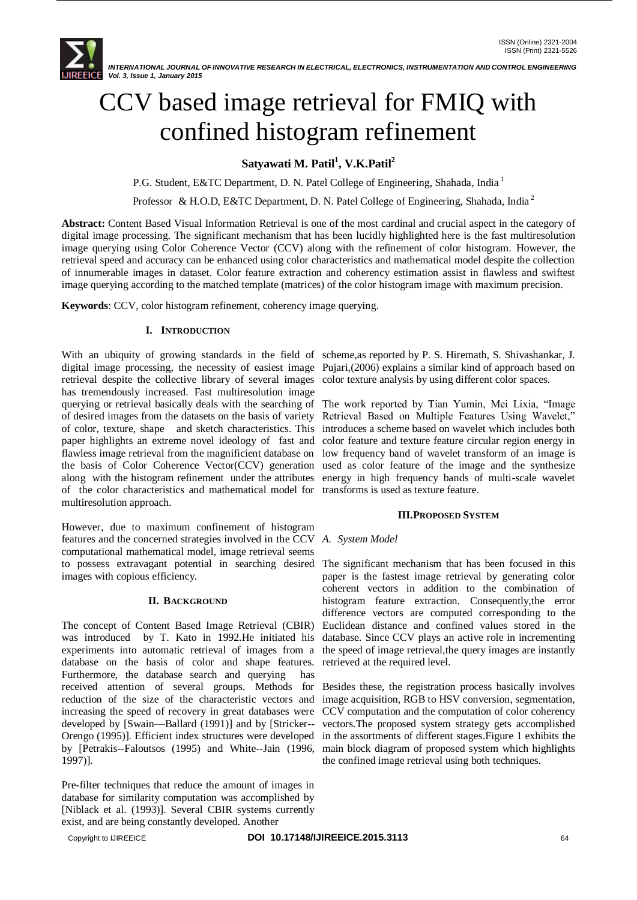

# CCV based image retrieval for FMIQ with confined histogram refinement

## **Satyawati M. Patil<sup>1</sup> , V.K.Patil<sup>2</sup>**

P.G. Student, E&TC Department, D. N. Patel College of Engineering, Shahada, India<sup>1</sup>

Professor & H.O.D, E&TC Department, D. N. Patel College of Engineering, Shahada, India<sup>2</sup>

**Abstract:** Content Based Visual Information Retrieval is one of the most cardinal and crucial aspect in the category of digital image processing. The significant mechanism that has been lucidly highlighted here is the fast multiresolution image querying using Color Coherence Vector (CCV) along with the refinement of color histogram. However, the retrieval speed and accuracy can be enhanced using color characteristics and mathematical model despite the collection of innumerable images in dataset. Color feature extraction and coherency estimation assist in flawless and swiftest image querying according to the matched template (matrices) of the color histogram image with maximum precision.

**Keywords**: CCV, color histogram refinement, coherency image querying.

## **I. INTRODUCTION**

With an ubiquity of growing standards in the field of scheme,as reported by P. S. Hiremath, S. Shivashankar, J. digital image processing, the necessity of easiest image Pujari,(2006) explains a similar kind of approach based on retrieval despite the collective library of several images color texture analysis by using different color spaces. has tremendously increased. Fast multiresolution image querying or retrieval basically deals with the searching of The work reported by Tian Yumin, Mei Lixia, "Image of desired images from the datasets on the basis of variety Retrieval Based on Multiple Features Using Wavelet," of color, texture, shape and sketch characteristics. This introduces a scheme based on wavelet which includes both paper highlights an extreme novel ideology of fast and color feature and texture feature circular region energy in flawless image retrieval from the magnificient database on low frequency band of wavelet transform of an image is the basis of Color Coherence Vector(CCV) generation used as color feature of the image and the synthesize along with the histogram refinement under the attributes energy in high frequency bands of multi-scale wavelet of the color characteristics and mathematical model for transforms is used as texture feature. multiresolution approach.

However, due to maximum confinement of histogram features and the concerned strategies involved in the CCV computational mathematical model, image retrieval seems to possess extravagant potential in searching desired The significant mechanism that has been focused in this images with copious efficiency.

## **II. BACKGROUND**

The concept of Content Based Image Retrieval (CBIR) was introduced by T. Kato in 1992.He initiated his experiments into automatic retrieval of images from a database on the basis of color and shape features. Furthermore, the database search and querying has received attention of several groups. Methods for Besides these, the registration process basically involves reduction of the size of the characteristic vectors and increasing the speed of recovery in great databases were developed by [Swain—Ballard (1991)] and by [Stricker-- Orengo (1995)]. Efficient index structures were developed in the assortments of different stages.Figure 1 exhibits the by [Petrakis--Faloutsos (1995) and White--Jain (1996, main block diagram of proposed system which highlights 1997)].

Pre-filter techniques that reduce the amount of images in database for similarity computation was accomplished by [Niblack et al. (1993)]. Several CBIR systems currently exist, and are being constantly developed. Another

## **III.PROPOSED SYSTEM**

## *A. System Model*

paper is the fastest image retrieval by generating color coherent vectors in addition to the combination of histogram feature extraction. Consequently,the error difference vectors are computed corresponding to the Euclidean distance and confined values stored in the database. Since CCV plays an active role in incrementing the speed of image retrieval,the query images are instantly retrieved at the required level.

image acquisition, RGB to HSV conversion, segmentation, CCV computation and the computation of color coherency vectors.The proposed system strategy gets accomplished the confined image retrieval using both techniques.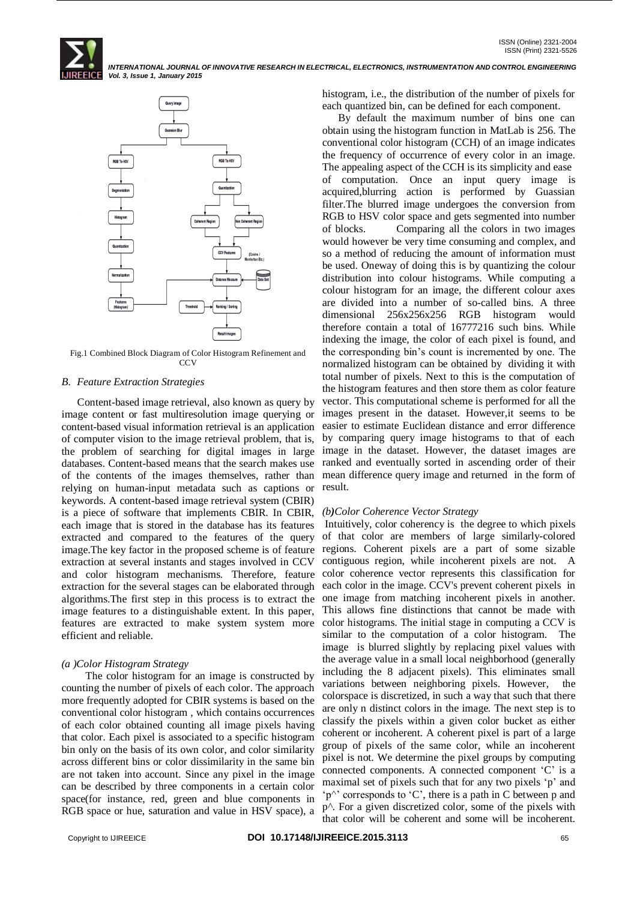*INTERNATIONAL JOURNAL OF INNOVATIVE RESEARCH IN ELECTRICAL, ELECTRONICS, INSTRUMENTATION AND CONTROL ENGINEERING Vol. 3, Issue 1, January 2015*



Fig.1 Combined Block Diagram of Color Histogram Refinement and CCV

#### *B. Feature Extraction Strategies*

Content-based image retrieval, also known as query by image content or fast multiresolution image querying or content-based visual information retrieval is an application of computer vision to the image retrieval problem, that is, databases. Content-based means that the search makes use relying on human-input metadata such as captions or keywords. A content-based image retrieval system (CBIR) is a piece of software that implements CBIR. In CBIR, each image that is stored in the database has its features extracted and compared to the features of the query image.The key factor in the proposed scheme is of feature extraction at several instants and stages involved in CCV and color histogram mechanisms. Therefore, feature extraction for the several stages can be elaborated through algorithms.The first step in this process is to extract the image features to a distinguishable extent. In this paper, features are extracted to make system system more efficient and reliable.

#### *(a )Color Histogram Strategy*

 The color histogram for an image is constructed by counting the number of pixels of each color. The approach more frequently adopted for CBIR systems is based on the conventional color histogram , which contains occurrences of each color obtained counting all image pixels having that color. Each pixel is associated to a specific histogram bin only on the basis of its own color, and color similarity across different bins or color dissimilarity in the same bin are not taken into account. Since any pixel in the image can be described by three components in a certain color space(for instance, red, green and blue components in RGB space or hue, saturation and value in HSV space), a

histogram, i.e., the distribution of the number of pixels for each quantized bin, can be defined for each component.

the problem of searching for digital images in large image in the dataset. However, the dataset images are of the contents of the images themselves, rather than mean difference query image and returned in the form of By default the maximum number of bins one can obtain using the histogram function in MatLab is 256. The conventional color histogram (CCH) of an image indicates the frequency of occurrence of every color in an image. The appealing aspect of the CCH is its simplicity and ease of computation. Once an input query image is acquired,blurring action is performed by Guassian filter.The blurred image undergoes the conversion from RGB to HSV color space and gets segmented into number of blocks. Comparing all the colors in two images would however be very time consuming and complex, and so a method of reducing the amount of information must be used. Oneway of doing this is by quantizing the colour distribution into colour histograms. While computing a colour histogram for an image, the different colour axes are divided into a number of so-called bins. A three dimensional 256x256x256 RGB histogram would therefore contain a total of 16777216 such bins. While indexing the image, the color of each pixel is found, and the corresponding bin"s count is incremented by one. The normalized histogram can be obtained by dividing it with total number of pixels. Next to this is the computation of the histogram features and then store them as color feature vector. This computational scheme is performed for all the images present in the dataset. However,it seems to be easier to estimate Euclidean distance and error difference by comparing query image histograms to that of each ranked and eventually sorted in ascending order of their result.

#### *(b)Color Coherence Vector Strategy*

Intuitively, color coherency is the degree to which pixels of that color are members of large similarly-colored regions. Coherent pixels are a part of some sizable contiguous region, while incoherent pixels are not. A color coherence vector represents this classification for each color in the image. CCV's prevent coherent pixels in one image from matching incoherent pixels in another. This allows fine distinctions that cannot be made with color histograms. The initial stage in computing a CCV is similar to the computation of a color histogram. The image is blurred slightly by replacing pixel values with the average value in a small local neighborhood (generally including the 8 adjacent pixels). This eliminates small variations between neighboring pixels. However, the colorspace is discretized, in such a way that such that there are only n distinct colors in the image. The next step is to classify the pixels within a given color bucket as either coherent or incoherent. A coherent pixel is part of a large group of pixels of the same color, while an incoherent pixel is not. We determine the pixel groups by computing connected components. A connected component "C" is a maximal set of pixels such that for any two pixels 'p' and "p $\gamma$ " corresponds to "C", there is a path in C between p and p*^*. For a given discretized color, some of the pixels with that color will be coherent and some will be incoherent.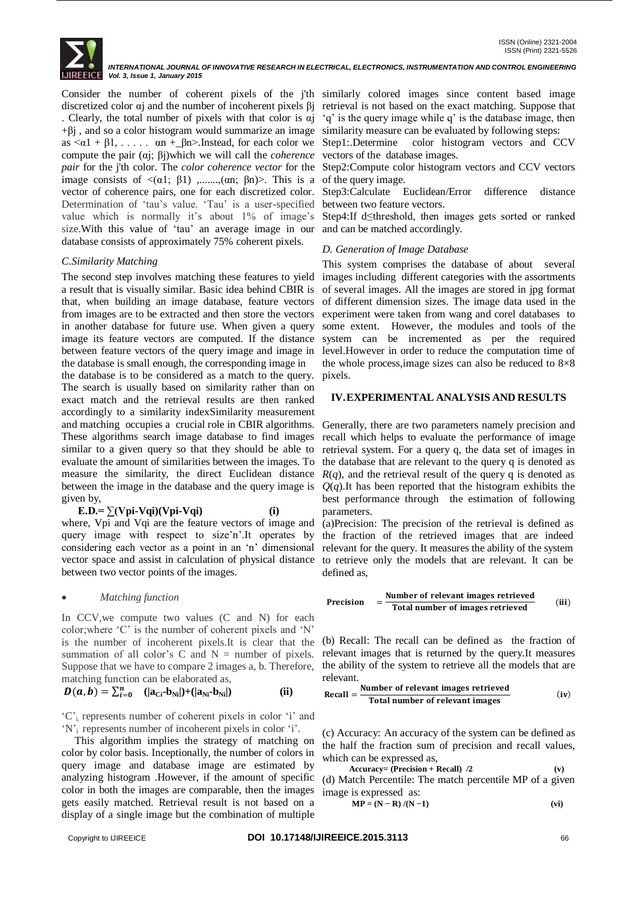

*INTERNATIONAL JOURNAL OF INNOVATIVE RESEARCH IN ELECTRICAL, ELECTRONICS, INSTRUMENTATION AND CONTROL ENGINEERING Vol. 3, Issue 1, January 2015*

discretized color αj and the number of incoherent pixels βj . Clearly, the total number of pixels with that color is  $\alpha j$  $+\beta$ j, and so a color histogram would summarize an image as  $\langle \alpha 1 + \beta 1, \ldots \rangle$  an +\_ $\beta n$ >. Instead, for each color we compute the pair (αj; βj)which we will call the *coherence*  image consists of  $\langle \alpha 1; \beta 1 \rangle$  ,......,( $\alpha n; \beta n$ )>. This is a of the query image. vector of coherence pairs, one for each discretized color. Determination of 'tau's value. 'Tau' is a user-specified between two feature vectors. value which is normally it's about 1% of image's size.With this value of "tau" an average image in our and can be matched accordingly. database consists of approximately 75% coherent pixels.

## *C*.*Similarity Matching*

The second step involves matching these features to yield a result that is visually similar. Basic idea behind CBIR is that, when building an image database, feature vectors from images are to be extracted and then store the vectors in another database for future use. When given a query image its feature vectors are computed. If the distance between feature vectors of the query image and image in the database is small enough, the corresponding image in

the database is to be considered as a match to the query. The search is usually based on similarity rather than on exact match and the retrieval results are then ranked accordingly to a similarity indexSimilarity measurement and matching occupies a crucial role in CBIR algorithms. These algorithms search image database to find images similar to a given query so that they should be able to evaluate the amount of similarities between the images. To measure the similarity, the direct Euclidean distance between the image in the database and the query image is given by,

$$
E.D. = \sum (Vpi-Vqi)(Vpi-Vqi)
$$
 (i)

where, Vpi and Vqi are the feature vectors of image and query image with respect to size'n'.It operates by considering each vector as a point in an "n" dimensional vector space and assist in calculation of physical distance to retrieve only the models that are relevant. It can be between two vector points of the images.

## *Matching function*

In CCV, we compute two values (C and N) for each color;where "C" is the number of coherent pixels and "N" is the number of incoherent pixels.It is clear that the summation of all color's  $C$  and  $N =$  number of pixels. Suppose that we have to compare 2 images a, b. Therefore, matching function can be elaborated as,

$$
D(a, b) = \sum_{i=0}^{n} (|a_{Ci} - b_{Ni}|) + (|a_{Ni} - b_{Ni}|)
$$
 (ii)

"C" represents number of coherent pixels in color "i" and 'N'<sub>i</sub> represents number of incoherent pixels in color 'i'.

 This algorithm implies the strategy of matching on color by color basis. Inceptionally, the number of colors in query image and database image are estimated by analyzing histogram .However, if the amount of specific color in both the images are comparable, then the images gets easily matched. Retrieval result is not based on a display of a single image but the combination of multiple

Consider the number of coherent pixels of the j'th similarly colored images since content based image retrieval is not based on the exact matching. Suppose that "q" is the query image while q" is the database image, then similarity measure can be evaluated by following steps:

> Step1:.Determine color histogram vectors and CCV vectors of the database images.

*pair* for the j'th color. The *color coherence vector* for the Step2:Compute color histogram vectors and CCV vectors

Step3:Calculate Euclidean/Error difference distance

Step4:If d≤threshold, then images gets sorted or ranked

## *D. Generation of Image Database*

This system comprises the database of about several images including different categories with the assortments of several images. All the images are stored in jpg format of different dimension sizes. The image data used in the experiment were taken from wang and corel databases to some extent. However, the modules and tools of the system can be incremented as per the required level.However in order to reduce the computation time of the whole process,image sizes can also be reduced to 8×8 pixels.

## **IV.EXPERIMENTAL ANALYSIS AND RESULTS**

Generally, there are two parameters namely precision and recall which helps to evaluate the performance of image retrieval system. For a query q, the data set of images in the database that are relevant to the query q is denoted as  $R(q)$ , and the retrieval result of the query q is denoted as  $Q(q)$ . It has been reported that the histogram exhibits the best performance through the estimation of following parameters.

(a)Precision: The precision of the retrieval is defined as the fraction of the retrieved images that are indeed relevant for the query. It measures the ability of the system defined as,

$$
Precision = \frac{Number of relevant images retrievedTotal number of images retrieved
$$
 (iii)

(b) Recall: The recall can be defined as the fraction of relevant images that is returned by the query.It measures the ability of the system to retrieve all the models that are relevant.

$$
Recall = \frac{Number of relevant images retrievedTotal number of relevant images} (iv)
$$

(c) Accuracy: An accuracy of the system can be defined as the half the fraction sum of precision and recall values, which can be expressed as,

 **Accuracy= (Precision + Recall) /2 (v)** (d) Match Percentile: The match percentile MP of a given image is expressed as:

$$
MP = (N - R) / (N - 1)
$$
 (vi)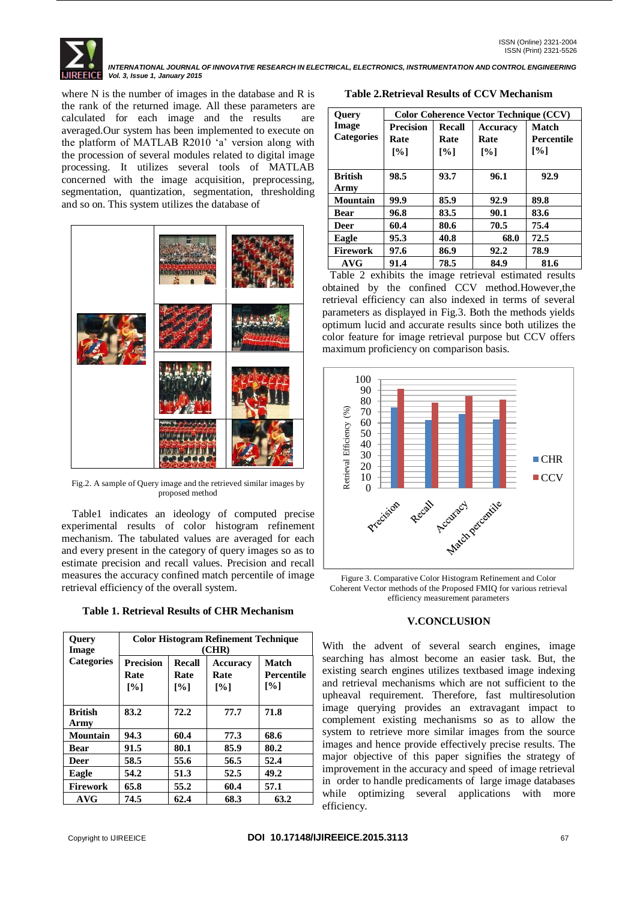ISSN (Print) 2321-5526 *INTERNATIONAL JOURNAL OF INNOVATIVE RESEARCH IN ELECTRICAL, ELECTRONICS, INSTRUMENTATION AND CONTROL ENGINEERING Vol. 3, Issue 1, January 2015*

where N is the number of images in the database and R is the rank of the returned image. All these parameters are calculated for each image and the results are averaged.Our system has been implemented to execute on the platform of MATLAB R2010 "a" version along with the procession of several modules related to digital image processing. It utilizes several tools of MATLAB concerned with the image acquisition, preprocessing, segmentation, quantization, segmentation, thresholding and so on. This system utilizes the database of



Fig.2. A sample of Query image and the retrieved similar images by proposed method

 Table1 indicates an ideology of computed precise experimental results of color histogram refinement mechanism. The tabulated values are averaged for each and every present in the category of query images so as to estimate precision and recall values. Precision and recall measures the accuracy confined match percentile of image retrieval efficiency of the overall system.

**Table 1. Retrieval Results of CHR Mechanism**

| <b>Query</b><br>Image  | <b>Color Histogram Refinement Technique</b><br>(CHR) |                                            |                                       |                                           |  |
|------------------------|------------------------------------------------------|--------------------------------------------|---------------------------------------|-------------------------------------------|--|
| <b>Categories</b>      | <b>Precision</b><br>Rate<br>$\lceil\% \rceil$        | <b>Recall</b><br>Rate<br>$\lceil\% \rceil$ | Accuracy<br>Rate<br>$\lceil\% \rceil$ | Match<br>Percentile<br>$\lceil \% \rceil$ |  |
| <b>British</b><br>Army | 83.2                                                 | 72.2                                       | 77.7                                  | 71.8                                      |  |
| <b>Mountain</b>        | 94.3                                                 | 60.4                                       | 77.3                                  | 68.6                                      |  |
| <b>Bear</b>            | 91.5                                                 | 80.1                                       | 85.9                                  | 80.2                                      |  |
| Deer                   | 58.5                                                 | 55.6                                       | 56.5                                  | 52.4                                      |  |
| Eagle                  | 54.2                                                 | 51.3                                       | 52.5                                  | 49.2                                      |  |
| <b>Firework</b>        | 65.8                                                 | 55.2                                       | 60.4                                  | 57.1                                      |  |
| AVG                    | 74.5                                                 | 62.4                                       | 68.3                                  | 63.2                                      |  |

**Table 2.Retrieval Results of CCV Mechanism**

| <b>Ouery</b>           | <b>Color Coherence Vector Technique (CCV)</b> |                    |                   |              |  |
|------------------------|-----------------------------------------------|--------------------|-------------------|--------------|--|
| Image                  | <b>Precision</b>                              | <b>Recall</b>      | Accuracy          | <b>Match</b> |  |
| <b>Categories</b>      | Rate                                          | Rate               | Rate              | Percentile   |  |
|                        | $\lceil\% \rceil$                             | $\lceil \% \rceil$ | $\lceil\% \rceil$ | [%]          |  |
| <b>British</b><br>Army | 98.5                                          | 93.7               | 96.1              | 92.9         |  |
| Mountain               | 99.9                                          | 85.9               | 92.9              | 89.8         |  |
| <b>Bear</b>            | 96.8                                          | 83.5               | 90.1              | 83.6         |  |
| Deer                   | 60.4                                          | 80.6               | 70.5              | 75.4         |  |
| Eagle                  | 95.3                                          | 40.8               | 68.0              | 72.5         |  |
| <b>Firework</b>        | 97.6                                          | 86.9               | 92.2              | 78.9         |  |
| <b>AVG</b>             | 91.4                                          | 78.5               | 84.9              | 81.6         |  |

 Table 2 exhibits the image retrieval estimated results obtained by the confined CCV method.However,the retrieval efficiency can also indexed in terms of several parameters as displayed in Fig.3. Both the methods yields optimum lucid and accurate results since both utilizes the color feature for image retrieval purpose but CCV offers maximum proficiency on comparison basis.



Figure 3. Comparative Color Histogram Refinement and Color Coherent Vector methods of the Proposed FMIQ for various retrieval efficiency measurement parameters

## **V.CONCLUSION**

With the advent of several search engines, image searching has almost become an easier task. But, the existing search engines utilizes textbased image indexing and retrieval mechanisms which are not sufficient to the upheaval requirement. Therefore, fast multiresolution image querying provides an extravagant impact to complement existing mechanisms so as to allow the system to retrieve more similar images from the source images and hence provide effectively precise results. The major objective of this paper signifies the strategy of improvement in the accuracy and speed of image retrieval in order to handle predicaments of large image databases while optimizing several applications with more efficiency.